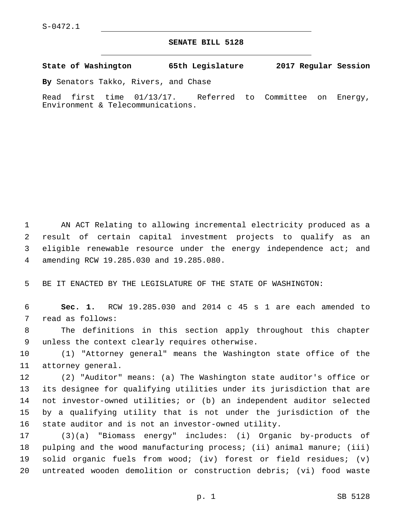## **SENATE BILL 5128**

**State of Washington 65th Legislature 2017 Regular Session**

**By** Senators Takko, Rivers, and Chase

Read first time 01/13/17. Referred to Committee on Energy, Environment & Telecommunications.

 AN ACT Relating to allowing incremental electricity produced as a result of certain capital investment projects to qualify as an eligible renewable resource under the energy independence act; and amending RCW 19.285.030 and 19.285.080.4

5 BE IT ENACTED BY THE LEGISLATURE OF THE STATE OF WASHINGTON:

6 **Sec. 1.** RCW 19.285.030 and 2014 c 45 s 1 are each amended to 7 read as follows:

8 The definitions in this section apply throughout this chapter 9 unless the context clearly requires otherwise.

10 (1) "Attorney general" means the Washington state office of the 11 attorney general.

 (2) "Auditor" means: (a) The Washington state auditor's office or its designee for qualifying utilities under its jurisdiction that are not investor-owned utilities; or (b) an independent auditor selected by a qualifying utility that is not under the jurisdiction of the state auditor and is not an investor-owned utility.

 (3)(a) "Biomass energy" includes: (i) Organic by-products of pulping and the wood manufacturing process; (ii) animal manure; (iii) solid organic fuels from wood; (iv) forest or field residues; (v) untreated wooden demolition or construction debris; (vi) food waste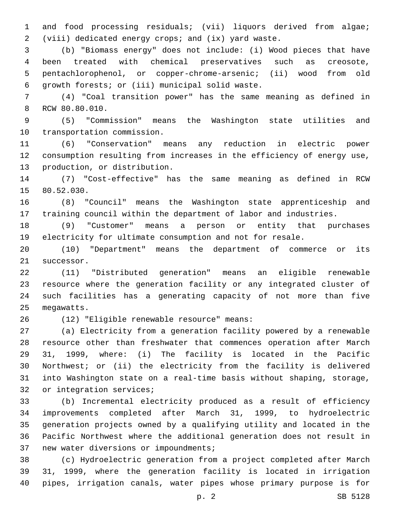and food processing residuals; (vii) liquors derived from algae; (viii) dedicated energy crops; and (ix) yard waste.

 (b) "Biomass energy" does not include: (i) Wood pieces that have been treated with chemical preservatives such as creosote, pentachlorophenol, or copper-chrome-arsenic; (ii) wood from old 6 growth forests; or (iii) municipal solid waste.

 (4) "Coal transition power" has the same meaning as defined in 8 RCW 80.80.010.

 (5) "Commission" means the Washington state utilities and 10 transportation commission.

 (6) "Conservation" means any reduction in electric power consumption resulting from increases in the efficiency of energy use, 13 production, or distribution.

 (7) "Cost-effective" has the same meaning as defined in RCW 15 80.52.030.

 (8) "Council" means the Washington state apprenticeship and training council within the department of labor and industries.

 (9) "Customer" means a person or entity that purchases electricity for ultimate consumption and not for resale.

 (10) "Department" means the department of commerce or its 21 successor.

 (11) "Distributed generation" means an eligible renewable resource where the generation facility or any integrated cluster of such facilities has a generating capacity of not more than five 25 megawatts.

(12) "Eligible renewable resource" means:26

 (a) Electricity from a generation facility powered by a renewable resource other than freshwater that commences operation after March 31, 1999, where: (i) The facility is located in the Pacific Northwest; or (ii) the electricity from the facility is delivered into Washington state on a real-time basis without shaping, storage, 32 or integration services;

 (b) Incremental electricity produced as a result of efficiency improvements completed after March 31, 1999, to hydroelectric generation projects owned by a qualifying utility and located in the Pacific Northwest where the additional generation does not result in 37 new water diversions or impoundments;

 (c) Hydroelectric generation from a project completed after March 31, 1999, where the generation facility is located in irrigation pipes, irrigation canals, water pipes whose primary purpose is for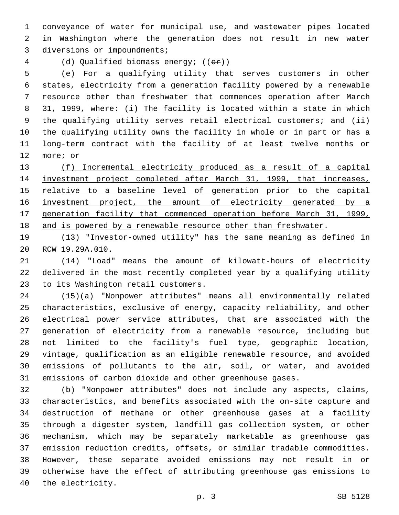conveyance of water for municipal use, and wastewater pipes located in Washington where the generation does not result in new water 3 diversions or impoundments;

(d) Qualified biomass energy; ((or))

 (e) For a qualifying utility that serves customers in other states, electricity from a generation facility powered by a renewable resource other than freshwater that commences operation after March 31, 1999, where: (i) The facility is located within a state in which the qualifying utility serves retail electrical customers; and (ii) the qualifying utility owns the facility in whole or in part or has a long-term contract with the facility of at least twelve months or more; or

 (f) Incremental electricity produced as a result of a capital investment project completed after March 31, 1999, that increases, 15 relative to a baseline level of generation prior to the capital 16 investment project, the amount of electricity generated by a generation facility that commenced operation before March 31, 1999, and is powered by a renewable resource other than freshwater.

 (13) "Investor-owned utility" has the same meaning as defined in 20 RCW 19.29A.010.

 (14) "Load" means the amount of kilowatt-hours of electricity delivered in the most recently completed year by a qualifying utility 23 to its Washington retail customers.

 (15)(a) "Nonpower attributes" means all environmentally related characteristics, exclusive of energy, capacity reliability, and other electrical power service attributes, that are associated with the generation of electricity from a renewable resource, including but not limited to the facility's fuel type, geographic location, vintage, qualification as an eligible renewable resource, and avoided emissions of pollutants to the air, soil, or water, and avoided emissions of carbon dioxide and other greenhouse gases.

 (b) "Nonpower attributes" does not include any aspects, claims, characteristics, and benefits associated with the on-site capture and destruction of methane or other greenhouse gases at a facility through a digester system, landfill gas collection system, or other mechanism, which may be separately marketable as greenhouse gas emission reduction credits, offsets, or similar tradable commodities. However, these separate avoided emissions may not result in or otherwise have the effect of attributing greenhouse gas emissions to 40 the electricity.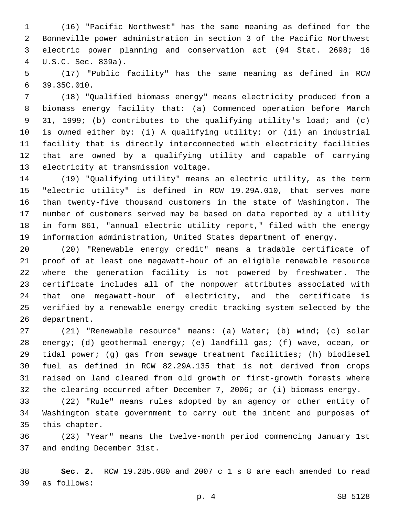(16) "Pacific Northwest" has the same meaning as defined for the Bonneville power administration in section 3 of the Pacific Northwest electric power planning and conservation act (94 Stat. 2698; 16 U.S.C. Sec. 839a).4

 (17) "Public facility" has the same meaning as defined in RCW 39.35C.010.6

 (18) "Qualified biomass energy" means electricity produced from a biomass energy facility that: (a) Commenced operation before March 31, 1999; (b) contributes to the qualifying utility's load; and (c) is owned either by: (i) A qualifying utility; or (ii) an industrial facility that is directly interconnected with electricity facilities that are owned by a qualifying utility and capable of carrying 13 electricity at transmission voltage.

 (19) "Qualifying utility" means an electric utility, as the term "electric utility" is defined in RCW 19.29A.010, that serves more than twenty-five thousand customers in the state of Washington. The number of customers served may be based on data reported by a utility in form 861, "annual electric utility report," filed with the energy information administration, United States department of energy.

 (20) "Renewable energy credit" means a tradable certificate of proof of at least one megawatt-hour of an eligible renewable resource where the generation facility is not powered by freshwater. The certificate includes all of the nonpower attributes associated with that one megawatt-hour of electricity, and the certificate is verified by a renewable energy credit tracking system selected by the 26 department.

 (21) "Renewable resource" means: (a) Water; (b) wind; (c) solar energy; (d) geothermal energy; (e) landfill gas; (f) wave, ocean, or tidal power; (g) gas from sewage treatment facilities; (h) biodiesel fuel as defined in RCW 82.29A.135 that is not derived from crops raised on land cleared from old growth or first-growth forests where the clearing occurred after December 7, 2006; or (i) biomass energy.

 (22) "Rule" means rules adopted by an agency or other entity of Washington state government to carry out the intent and purposes of 35 this chapter.

 (23) "Year" means the twelve-month period commencing January 1st 37 and ending December 31st.

 **Sec. 2.** RCW 19.285.080 and 2007 c 1 s 8 are each amended to read as follows:39